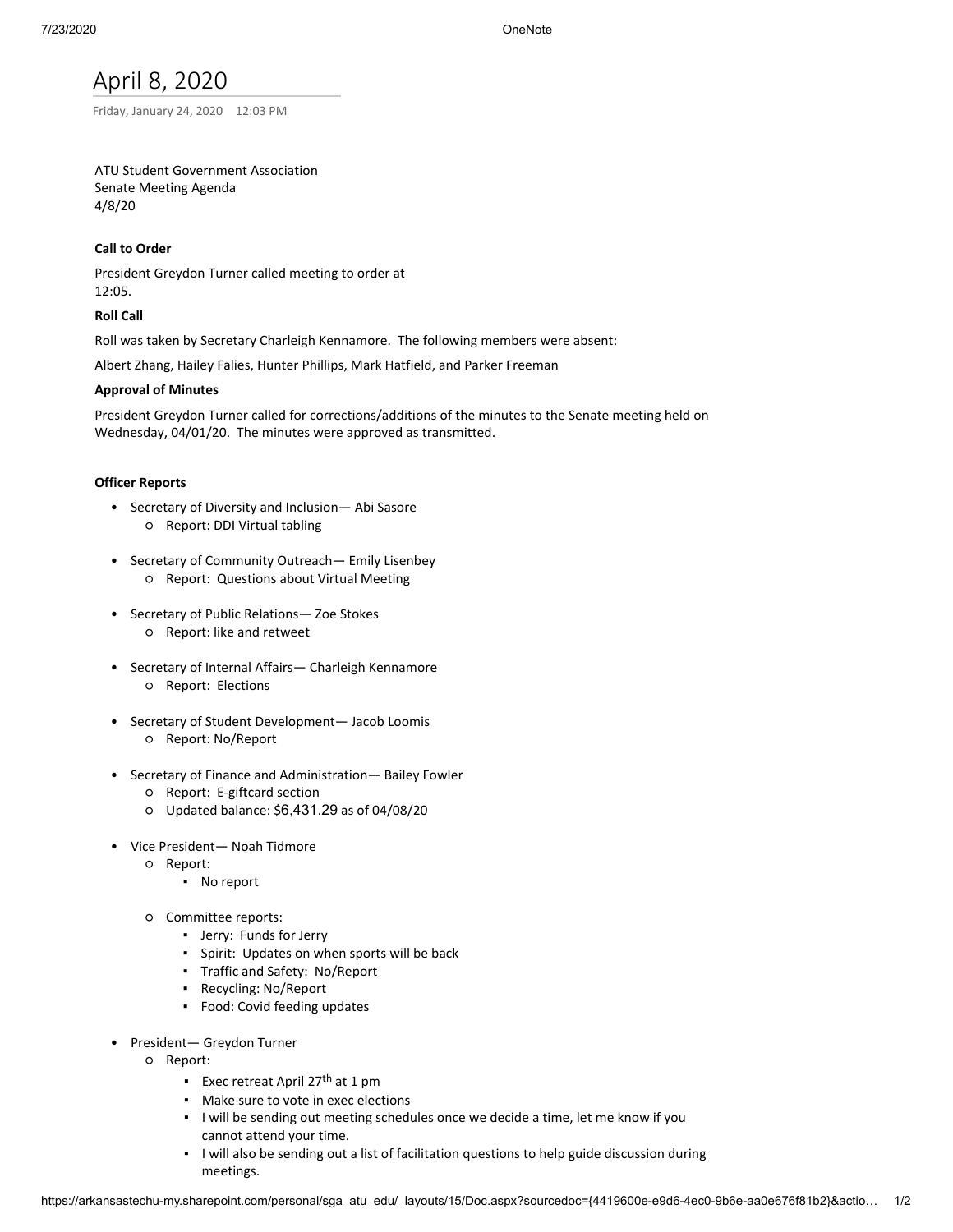# April 8, 2020

Friday, January 24, 2020 12:03 PM

# ATU Student Government Association Senate Meeting Agenda 4/8/20

# **Call to Order**

President Greydon Turner called meeting to order at 12:05.

## **Roll Call**

Roll was taken by Secretary Charleigh Kennamore. The following members were absent:

Albert Zhang, Hailey Falies, Hunter Phillips, Mark Hatfield, and Parker Freeman

## **Approval of Minutes**

President Greydon Turner called for corrections/additions of the minutes to the Senate meeting held on Wednesday, 04/01/20. The minutes were approved as transmitted.

## **Officer Reports**

- Secretary of Diversity and Inclusion— Abi Sasore ○ Report: DDI Virtual tabling
- Secretary of Community Outreach— Emily Lisenbey ○ Report: Questions about Virtual Meeting
- Secretary of Public Relations— Zoe Stokes ○ Report: like and retweet
- Secretary of Internal Affairs— Charleigh Kennamore ○ Report: Elections
- Secretary of Student Development— Jacob Loomis ○ Report: No/Report
- Secretary of Finance and Administration— Bailey Fowler
	- Report: E-giftcard section
	- Updated balance: \$6,431.29 as of 04/08/20
- Vice President— Noah Tidmore
	- Report:
		- No report
		- Committee reports:
			- Jerry: Funds for Jerry
			- Spirit: Updates on when sports will be back
			- Traffic and Safety: No/Report
			- Recycling: No/Report
			- Food: Covid feeding updates
- President— Greydon Turner
	- Report:
		- Exec retreat April 27<sup>th</sup> at 1 pm
		- Make sure to vote in exec elections
		- I will be sending out meeting schedules once we decide a time, let me know if you cannot attend your time.
		- I will also be sending out a list of facilitation questions to help guide discussion during meetings.